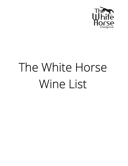

# The White Horse Wine List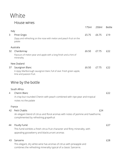# White

#### House wines

|                                                                                                                                        |                                                                                                                                                              | 175ml | 250ml | <b>Bottle</b> |  |  |  |
|----------------------------------------------------------------------------------------------------------------------------------------|--------------------------------------------------------------------------------------------------------------------------------------------------------------|-------|-------|---------------|--|--|--|
| Italy<br>3                                                                                                                             | Pinot Grigio<br>Zippy and refreshing on the nose with melon and peach fruit on the<br>palate                                                                 | £5.75 | £6.75 | £19           |  |  |  |
| 32                                                                                                                                     | Australia<br>Chardonnay<br>Flavours of melon pear and apple with a long finish and a hint of<br>minerality                                                   | £6.50 | £7.75 | £22           |  |  |  |
| 37                                                                                                                                     | New Zealand<br>Sauvignon Blanc<br>A zippy Marlborough sauvignon blanc full of zeal. Fresh green apple,<br>lime and passion fruit.                            | £6.50 | £7.75 | £22           |  |  |  |
| Wine by the bottle                                                                                                                     |                                                                                                                                                              |       |       |               |  |  |  |
| South Africa<br>Chenin Blanc<br>4<br>A crisp but rounded Chenin with peach combined with ripe pear and tropical<br>notes no the palate |                                                                                                                                                              |       |       | £22           |  |  |  |
| 42                                                                                                                                     | France<br><b>Petit Chablis</b><br>An elegant blend of citrus and floral aromas with notes of jasmine and hawthorne,<br>complimented by refreshing grapefruit |       | £24   |               |  |  |  |
| 44                                                                                                                                     | Pouilly Fumé<br>This fumé exhibits a fresh citrus fruit character and flinty minerality, with<br>appealing gooseberry and blackcurrant aromas                |       |       | £27           |  |  |  |
| 43                                                                                                                                     | Sancerre<br>This elegant, dry white wine has aromas of citrus with pineapple and<br>combines the refreshing minerality typical of a classic Sancerre.        |       |       | £28           |  |  |  |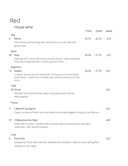### Red House wine

|            |                                                                                                                                                                                | 175ml | 250ml | <b>Bottle</b> |  |  |
|------------|--------------------------------------------------------------------------------------------------------------------------------------------------------------------------------|-------|-------|---------------|--|--|
| Italy<br>6 | Merlot<br>Soft and juicy and bursting with red fruit flavours, pairs well with<br>grilled meat                                                                                 | £5.75 | £6.75 | £19           |  |  |
| 48         | Spain<br>Rioja<br>Deep garnet in colour with earthy aromas of plum, cedar and spices.<br>Ends with a lingering finish of wood, spice and mint.                                 | £6.50 | £7.75 | £22           |  |  |
| 12         | Argentina<br>Malbec<br>A robust, savoury wine accented with rich flavours of violets, plums<br>and cherries. Subtle hints of vanilla add a refined sweetness on the<br>finish. | £6.50 | £7.75 | £22           |  |  |
|            | Chile<br>36 Shiraz<br>Smooth, full of forest fruits, bitter chocolate and a hint of<br>black pepper.                                                                           |       |       | £22           |  |  |
| France     |                                                                                                                                                                                |       |       |               |  |  |
| 5          | Cabernet Sauvignon<br>Classic aromas of fresh mint and blackcurrant with elegant full spicy fruit flavours                                                                     |       |       | £22           |  |  |
| 57         | Châteauneuf-du-Pape<br>Deep red in colour, complex with aromas of jammy black fruits and spicy<br>overtones. Rich and full bodied.                                             |       |       | £28           |  |  |
|            | Chile                                                                                                                                                                          |       |       |               |  |  |
| 8          | <b>Pinot Noir</b><br>Voluptuous Pinot with cherries, blackberries and plum. Ideal to serve with grilled<br>chicken or red meats.                                               |       |       | £23           |  |  |